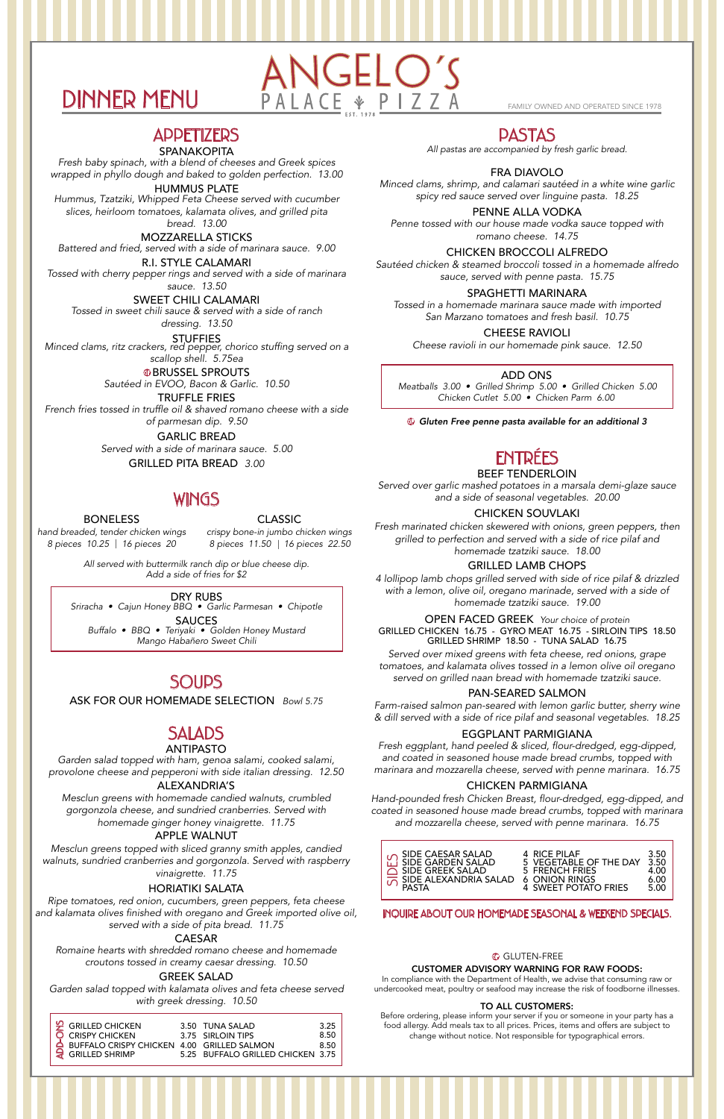# DINNER MENU PALACE & PIZZA

**APPETIZERS** 

#### SPANAKOPITA

*Fresh baby spinach, with a blend of cheeses and Greek spices wrapped in phyllo dough and baked to golden perfection. 13.00*

HUMMUS PLATE

*Hummus, Tzatziki, Whipped Feta Cheese served with cucumber slices, heirloom tomatoes, kalamata olives, and grilled pita bread. 13.00*

MOZZARELLA STICKS *Battered and fried, served with a side of marinara sauce. 9.00*

R.I. STYLE CALAMARI *Tossed with cherry pepper rings and served with a side of marinara sauce. 13.50*

> **GBRUSSEL SPROUTS** *Sautéed in EVOO, Bacon & Garlic. 10.50*

SWEET CHILI CALAMARI *Tossed in sweet chili sauce & served with a side of ranch dressing. 13.50*

STUFFIES *Minced clams, ritz crackers, red pepper, chorico stuffing served on a scallop shell. 5.75ea*

TRUFFLE FRIES *French fries tossed in truffle oil & shaved romano cheese with a side of parmesan dip. 9.50*

> *Served with a side of marinara sauce. 5.00* GARLIC BREAD

> > GRILLED PITA BREAD *3.00*

# **WINGS**

*hand breaded, tender chicken wings*

BONELESS

*8 pieces 10.25 16 pieces 20* | *8 pieces 11.50 16 pieces 22.50* | *crispy bone-in jumbo chicken wings*

> *All served with buttermilk ranch dip or blue cheese dip. Add a side of fries for \$2*

CLASSIC

DRY RUBS

*Sriracha • Cajun Honey BBQ • Garlic Parmesan • Chipotle*

SAUCES *Buffalo • BBQ • Teriyaki • Golden Honey Mustard Mango Habañero Sweet Chili*

# **SOUPS**

# SALADS

#### ANTIPASTO

#### ALEXANDRIA'S

*Mesclun greens with homemade candied walnuts, crumbled gorgonzola cheese, and sundried cranberries. Served with*

#### *homemade ginger honey vinaigrette. 11.75* APPLE WALNUT

*Garden salad topped with ham, genoa salami, cooked salami, provolone cheese and pepperoni with side italian dressing. 12.50*

*Mesclun greens topped with sliced granny smith apples, candied walnuts, sundried cranberries and gorgonzola. Served with raspberry vinaigrette. 11.75*

#### HORIATIKI SALATA

*Ripe tomatoes, red onion, cucumbers, green peppers, feta cheese and kalamata olives finished with oregano and Greek imported olive oil, served with a side of pita bread. 11.75*

#### CAESAR

*Romaine hearts with shredded romano cheese and homemade croutons tossed in creamy caesar dressing. 10.50*

#### GREEK SALAD

*Garden salad topped with kalamata olives and feta cheese served with greek dressing. 10.50*

ASK FOR OUR HOMEMADE SELECTION *Bowl 5.75*

# PASTAS

#### FRA DIAVOLO

*Minced clams, shrimp, and calamari sautéed in a white wine garlic spicy red sauce served over linguine pasta. 18.25*

#### PENNE ALLA VODKA

*Penne tossed with our house made vodka sauce topped with romano cheese. 14.75*

#### CHICKEN BROCCOLI ALFREDO

*Sautéed chicken & steamed broccoli tossed in a homemade alfredo sauce, served with penne pasta. 15.75*

#### CHEESE RAVIOLI

GF *Gluten Free penne pasta available for an additional 3*

#### SPAGHETTI MARINARA

*Tossed in a homemade marinara sauce made with imported San Marzano tomatoes and fresh basil. 10.75*

*Cheese ravioli in our homemade pink sauce. 12.50*

*All pastas are accompanied by fresh garlic bread.*

# ENTRÉES

#### BEEF TENDERLOIN

#### CHICKEN SOUVLAKI

*Fresh marinated chicken skewered with onions, green peppers, then grilled to perfection and served with a side of rice pilaf and homemade tzatziki sauce. 18.00*

*Served over garlic mashed potatoes in a marsala demi-glaze sauce and a side of seasonal vegetables. 20.00*

#### GRILLED LAMB CHOPS

*4 lollipop lamb chops grilled served with side of rice pilaf & drizzled with a lemon, olive oil, oregano marinade, served with a side of homemade tzatziki sauce. 19.00*

*Served over mixed greens with feta cheese, red onions, grape tomatoes, and kalamata olives tossed in a lemon olive oil oregano served on grilled naan bread with homemade tzatziki sauce.*

#### PAN-SEARED SALMON

*Farm-raised salmon pan-seared with lemon garlic butter, sherry wine & dill served with a side of rice pilaf and seasonal vegetables. 18.25*

#### EGGPLANT PARMIGIANA

GRILLED CHICKEN 16.75 - GYRO MEAT 16.75 - SIRLOIN TIPS 18.50 GRILLED SHRIMP 18.50 - TUNA SALAD 16.75 OPEN FACED GREEK *Your choice of protein*

*Fresh eggplant, hand peeled & sliced, flour-dredged, egg-dipped, and coated in seasoned house made bread crumbs, topped with marinara and mozzarella cheese, served with penne marinara. 16.75*

#### CHICKEN PARMIGIANA

*Hand-pounded fresh Chicken Breast, flour-dredged, egg-dipped, and coated in seasoned house made bread crumbs, topped with marinara and mozzarella cheese, served with penne marinara. 16.75*

#### INQUIRE ABOUT OUR HOMEMADE SEASONAL & WEEKEND SPECIALS.

#### **G** GLUTEN-FREE

#### CUSTOMER ADVISORY WARNING FOR RAW FOODS:

In compliance with the Department of Health, we advise that consuming raw or undercooked meat, poultry or seafood may increase the risk of foodborne illnesses.

#### TO ALL CUSTOMERS:

Before ordering, please inform your server if you or someone in your party has a food allergy. Add meals tax to all prices. Prices, items and offers are subject to change without notice. Not responsible for typographical errors.

| $\mathfrak{P}$ GRILLED CHICKEN             | 3.50 TUNA SALAD                   | 3.25 |
|--------------------------------------------|-----------------------------------|------|
| O CRISPY CHICKEN                           | 3.75 SIRLOIN TIPS                 | 8.50 |
| BUFFALO CRISPY CHICKEN 4.00 GRILLED SALMON |                                   | 8.50 |
| $\overline{Q}$ GRILLED SHRIMP              | 5.25 BUFFALO GRILLED CHICKEN 3.75 |      |

#### ADD ONS

*Meatballs 3.00 • Grilled Shrimp 5.00 • Grilled Chicken 5.00 Chicken Cutlet 5.00 • Chicken Parm 6.00*